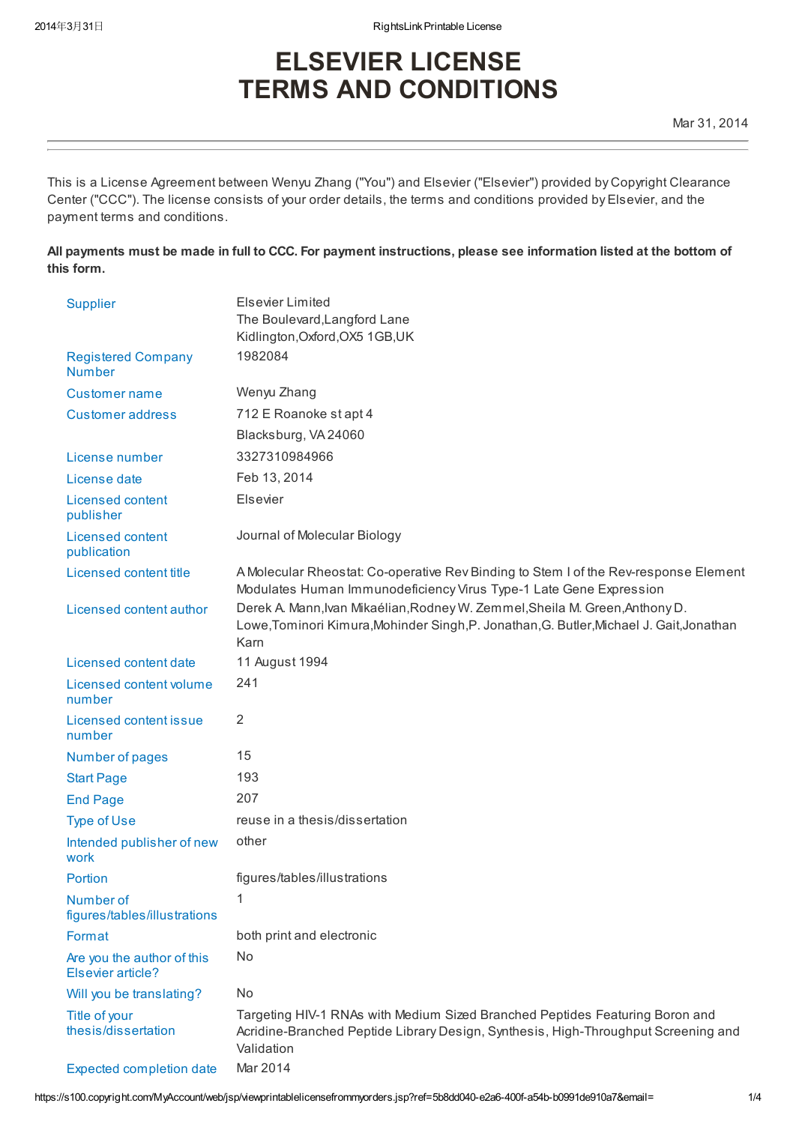# ELSEVIER LICENSE TERMS AND CONDITIONS

This is a License Agreement between Wenyu Zhang ("You") and Elsevier ("Elsevier") provided by Copyright Clearance Center ("CCC"). The license consists of your order details, the terms and conditions provided by Elsevier, and the payment terms and conditions.

All payments must be made in full to CCC. For payment instructions, please see information listed at the bottom of this form.

| <b>Supplier</b>                                 | <b>Elsevier Limited</b>                                                                                                                                                          |
|-------------------------------------------------|----------------------------------------------------------------------------------------------------------------------------------------------------------------------------------|
|                                                 | The Boulevard, Langford Lane                                                                                                                                                     |
|                                                 | Kidlington, Oxford, OX5 1GB, UK                                                                                                                                                  |
| <b>Registered Company</b><br><b>Number</b>      | 1982084                                                                                                                                                                          |
| Customer name                                   | Wenyu Zhang                                                                                                                                                                      |
| <b>Customer address</b>                         | 712 E Roanoke st apt 4                                                                                                                                                           |
|                                                 | Blacksburg, VA 24060                                                                                                                                                             |
| License number                                  | 3327310984966                                                                                                                                                                    |
| License date                                    | Feb 13, 2014                                                                                                                                                                     |
| Licensed content<br>publisher                   | Elsevier                                                                                                                                                                         |
| <b>Licensed content</b><br>publication          | Journal of Molecular Biology                                                                                                                                                     |
| Licensed content title                          | A Molecular Rheostat: Co-operative Rev Binding to Stem I of the Rev-response Element<br>Modulates Human Immunodeficiency Virus Type-1 Late Gene Expression                       |
| Licensed content author                         | Derek A. Mann, Ivan Mikaélian, Rodney W. Zemmel, Sheila M. Green, Anthony D.<br>Lowe, Tominori Kimura, Mohinder Singh, P. Jonathan, G. Butler, Michael J. Gait, Jonathan<br>Karn |
| Licensed content date                           | 11 August 1994                                                                                                                                                                   |
| Licensed content volume<br>number               | 241                                                                                                                                                                              |
| Licensed content issue<br>number                | 2                                                                                                                                                                                |
| Number of pages                                 | 15                                                                                                                                                                               |
| <b>Start Page</b>                               | 193                                                                                                                                                                              |
| <b>End Page</b>                                 | 207                                                                                                                                                                              |
| <b>Type of Use</b>                              | reuse in a thesis/dissertation                                                                                                                                                   |
| Intended publisher of new<br>work               | other                                                                                                                                                                            |
| Portion                                         | figures/tables/illustrations                                                                                                                                                     |
| Number of<br>figures/tables/illustrations       |                                                                                                                                                                                  |
| Format                                          | both print and electronic                                                                                                                                                        |
| Are you the author of this<br>Elsevier article? | No                                                                                                                                                                               |
| Will you be translating?                        | No                                                                                                                                                                               |
| Title of your<br>thesis/dissertation            | Targeting HIV-1 RNAs with Medium Sized Branched Peptides Featuring Boron and<br>Acridine-Branched Peptide Library Design, Synthesis, High-Throughput Screening and<br>Validation |
| <b>Expected completion date</b>                 | Mar 2014                                                                                                                                                                         |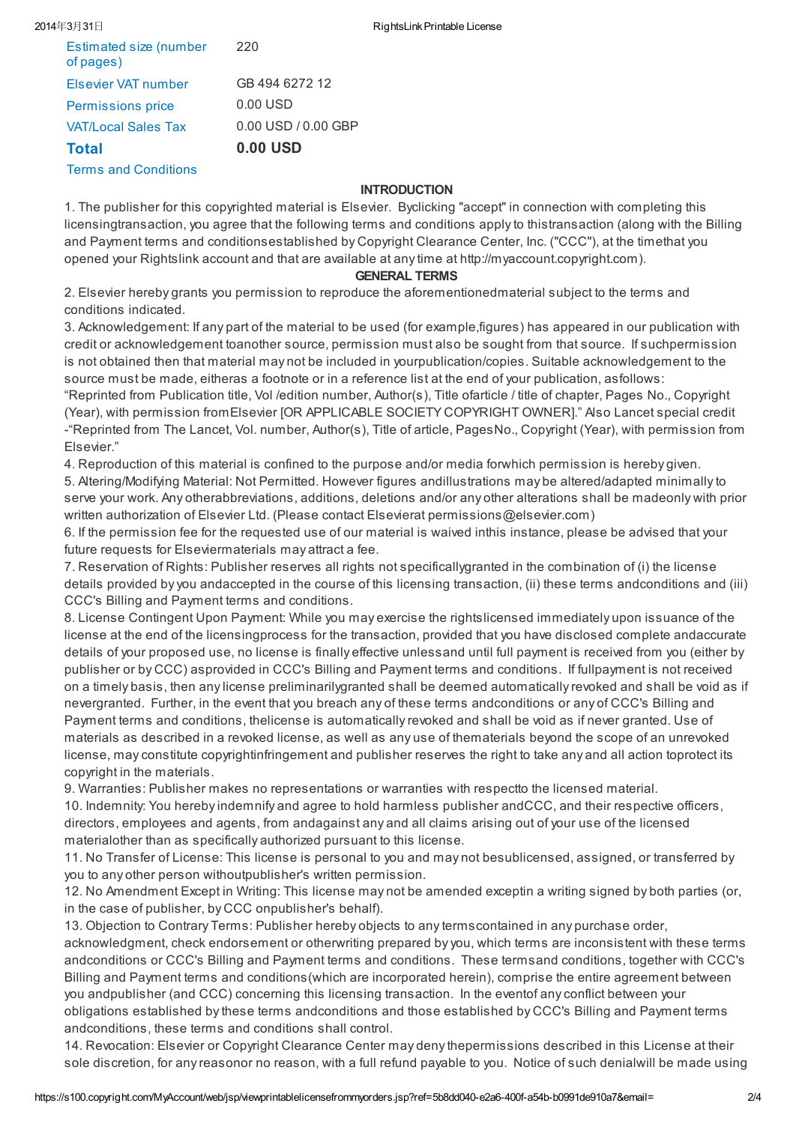| Estimated size (number<br>of pages) | 220                    |
|-------------------------------------|------------------------|
| Elsevier VAT number                 | GB 494 6272 12         |
| Permissions price                   | 0.00 USD               |
| <b>VAT/Local Sales Tax</b>          | $0.00$ USD $/0.00$ GBP |
| <b>Total</b>                        | $0.00$ USD             |
| <b>Terms and Conditions</b>         |                        |

## **INTRODUCTION**

1. The publisher for this copyrighted material is Elsevier. Byclicking "accept" in connection with completing this licensingtransaction, you agree that the following terms and conditions apply to thistransaction (along with the Billing and Payment terms and conditionsestablished by Copyright Clearance Center, Inc. ("CCC"), at the timethat you opened your Rightslink account and that are available at any time at http://myaccount.copyright.com).

### GENERAL TERMS

2. Elsevier hereby grants you permission to reproduce the aforementionedmaterial subject to the terms and conditions indicated.

3. Acknowledgement: If any part of the material to be used (for example,figures) has appeared in our publication with credit or acknowledgement toanother source, permission must also be sought from that source. If suchpermission is not obtained then that material may not be included in yourpublication/copies. Suitable acknowledgement to the source must be made, eitheras a footnote or in a reference list at the end of your publication, asfollows: "Reprinted from Publication title, Vol /edition number, Author(s), Title ofarticle / title of chapter, Pages No., Copyright (Year), with permission fromElsevier [OR APPLICABLE SOCIETY COPYRIGHT OWNER]." Also Lancet special credit -"Reprinted from The Lancet, Vol. number, Author(s), Title of article, PagesNo., Copyright (Year), with permission from

Elsevier."

4. Reproduction of this material is confined to the purpose and/or media forwhich permission is hereby given.

5. Altering/Modifying Material: Not Permitted. However figures andillustrations may be altered/adapted minimally to serve your work. Any otherabbreviations, additions, deletions and/or any other alterations shall be madeonly with prior written authorization of Elsevier Ltd. (Please contact Elsevierat permissions@elsevier.com)

6. If the permission fee for the requested use of our material is waived inthis instance, please be advised that your future requests for Elseviermaterials may attract a fee.

7. Reservation of Rights: Publisher reserves all rights not specificallygranted in the combination of (i) the license details provided by you andaccepted in the course of this licensing transaction, (ii) these terms andconditions and (iii) CCC's Billing and Payment terms and conditions.

8. License Contingent Upon Payment: While you may exercise the rightslicensed immediately upon issuance of the license at the end of the licensingprocess for the transaction, provided that you have disclosed complete andaccurate details of your proposed use, no license is finally effective unlessand until full payment is received from you (either by publisher or by CCC) asprovided in CCC's Billing and Payment terms and conditions. If fullpayment is not received on a timely basis, then any license preliminarilygranted shall be deemed automatically revoked and shall be void as if nevergranted. Further, in the event that you breach any of these terms andconditions or any of CCC's Billing and Payment terms and conditions, thelicense is automatically revoked and shall be void as if never granted. Use of materials as described in a revoked license, as well as any use of thematerials beyond the scope of an unrevoked license, may constitute copyrightinfringement and publisher reserves the right to take any and all action toprotect its copyright in the materials.

9. Warranties: Publisher makes no representations or warranties with respectto the licensed material. 10. Indemnity: You hereby indemnify and agree to hold harmless publisher andCCC, and their respective officers, directors, employees and agents, from andagainst any and all claims arising out of your use of the licensed materialother than as specifically authorized pursuant to this license.

11. No Transfer of License: This license is personal to you and may not besublicensed, assigned, or transferred by you to any other person withoutpublisher's written permission.

12. No Amendment Except in Writing: This license may not be amended exceptin a writing signed by both parties (or, in the case of publisher, by CCC onpublisher's behalf).

13. Objection to Contrary Terms: Publisher hereby objects to any termscontained in any purchase order, acknowledgment, check endorsement or otherwriting prepared by you, which terms are inconsistent with these terms andconditions or CCC's Billing and Payment terms and conditions. These termsand conditions, together with CCC's Billing and Payment terms and conditions(which are incorporated herein), comprise the entire agreement between you andpublisher (and CCC) concerning this licensing transaction. In the eventof any conflict between your obligations established by these terms andconditions and those established by CCC's Billing and Payment terms andconditions, these terms and conditions shall control.

14. Revocation: Elsevier or Copyright Clearance Center may deny thepermissions described in this License at their sole discretion, for any reasonor no reason, with a full refund payable to you. Notice of such denialwill be made using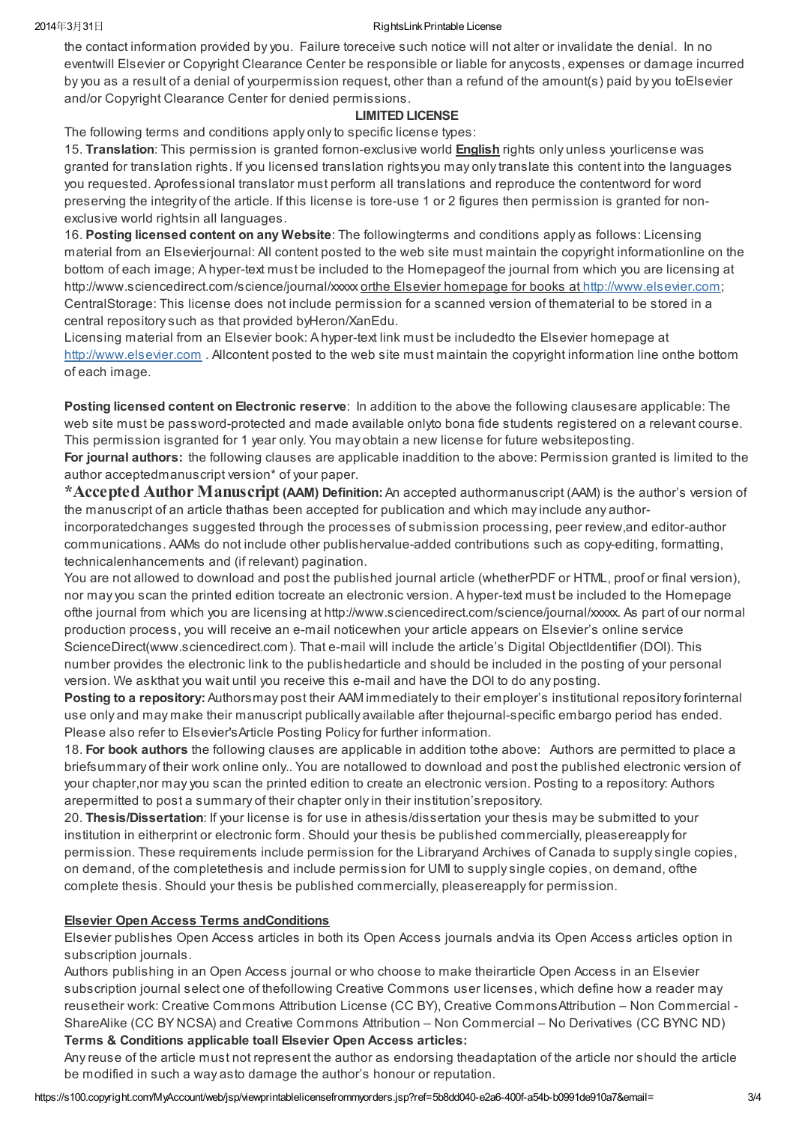#### 2014年3月31日 RightsLink Printable License

the contact information provided by you. Failure toreceive such notice will not alter or invalidate the denial. In no eventwill Elsevier or Copyright Clearance Center be responsible or liable for anycosts, expenses or damage incurred by you as a result of a denial of yourpermission request, other than a refund of the amount(s) paid by you toElsevier and/or Copyright Clearance Center for denied permissions.

## LIMITED LICENSE

The following terms and conditions apply only to specific license types:

15. Translation: This permission is granted fornon-exclusive world English rights only unless yourlicense was granted for translation rights. If you licensed translation rightsyou may only translate this content into the languages you requested. Aprofessional translator must perform all translations and reproduce the contentword for word preserving the integrity of the article. If this license is tore-use 1 or 2 figures then permission is granted for nonexclusive world rightsin all languages.

16. Posting licensed content on any Website: The followingterms and conditions apply as follows: Licensing material from an Elsevierjournal: All content posted to the web site must maintain the copyright informationline on the bottom of each image; A hyper-text must be included to the Homepageof the journal from which you are licensing at http://www.sciencedirect.com/science/journal/xxxx orthe Elsevier homepage for books at [http://www.elsevier.com;](http://www.elsevier.com/) CentralStorage: This license does not include permission for a scanned version of thematerial to be stored in a central repository such as that provided byHeron/XanEdu.

Licensing material from an Elsevier book: A hyper-text link must be includedto the Elsevier homepage at [http://www.elsevier.com](http://www.elsevier.com/). Allcontent posted to the web site must maintain the copyright information line onthe bottom of each image.

Posting licensed content on Electronic reserve: In addition to the above the following clausesare applicable: The web site must be password-protected and made available onlyto bona fide students registered on a relevant course. This permission isgranted for 1 year only. You may obtain a new license for future websiteposting.

For journal authors: the following clauses are applicable inaddition to the above: Permission granted is limited to the author acceptedmanuscript version\* of your paper.

\*Accepted Author Manuscript (AAM) Definition: An accepted authormanuscript (AAM) is the author's version of the manuscript of an article thathas been accepted for publication and which may include any authorincorporatedchanges suggested through the processes of submission processing, peer review,and editor-author communications. AAMs do not include other publishervalue-added contributions such as copy-editing, formatting, technicalenhancements and (if relevant) pagination.

You are not allowed to download and post the published journal article (whetherPDF or HTML, proof or final version), nor may you scan the printed edition tocreate an electronic version. A hyper-text must be included to the Homepage ofthe journal from which you are licensing at http://www.sciencedirect.com/science/journal/xxxxx. As part of our normal production process, you will receive an e-mail noticewhen your article appears on Elsevier's online service ScienceDirect(www.sciencedirect.com). That e-mail will include the article's Digital ObjectIdentifier (DOI). This number provides the electronic link to the publishedarticle and should be included in the posting of your personal version. We askthat you wait until you receive this e-mail and have the DOI to do any posting.

Posting to a repository: Authorsmay post their AAM immediately to their employer's institutional repository forinternal use only and may make their manuscript publically available after thejournal-specific embargo period has ended. Please also refer to Elsevier'sArticle Posting Policy for further information.

18. For book authors the following clauses are applicable in addition tothe above: Authors are permitted to place a briefsummary of their work online only.. You are notallowed to download and post the published electronic version of your chapter,nor may you scan the printed edition to create an electronic version. Posting to a repository: Authors arepermitted to post a summary of their chapter only in their institution'srepository.

20. Thesis/Dissertation: If your license is for use in athesis/dissertation your thesis may be submitted to your institution in eitherprint or electronic form. Should your thesis be published commercially, pleasereapply for permission. These requirements include permission for the Libraryand Archives of Canada to supply single copies, on demand, of the completethesis and include permission for UMI to supply single copies, on demand, ofthe complete thesis. Should your thesis be published commercially, pleasereapply for permission.

# Elsevier Open Access Terms andConditions

Elsevier publishes Open Access articles in both its Open Access journals andvia its Open Access articles option in subscription journals.

Authors publishing in an Open Access journal or who choose to make theirarticle Open Access in an Elsevier subscription journal select one of thefollowing Creative Commons user licenses, which define how a reader may reusetheir work: Creative Commons Attribution License (CC BY), Creative CommonsAttribution – Non Commercial - ShareAlike (CC BY NCSA) and Creative Commons Attribution – Non Commercial – No Derivatives (CC BYNC ND) Terms & Conditions applicable toall Elsevier Open Access articles:

Any reuse of the article must not represent the author as endorsing theadaptation of the article nor should the article be modified in such a way asto damage the author's honour or reputation.